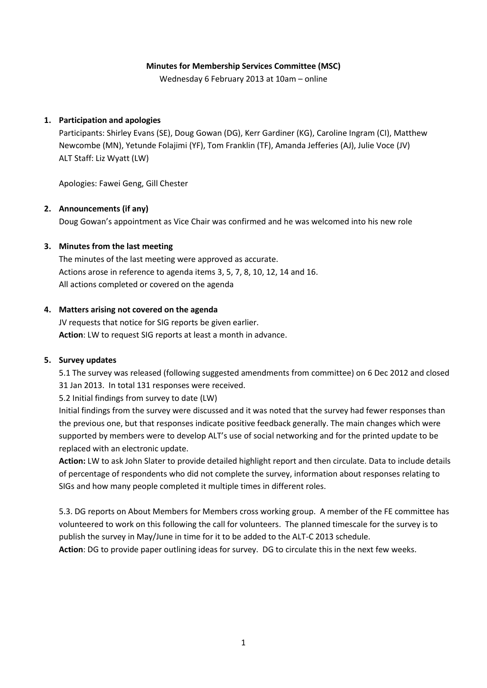### **Minutes for Membership Services Committee (MSC)**

Wednesday 6 February 2013 at 10am – online

### **1. Participation and apologies**

Participants: Shirley Evans (SE), Doug Gowan (DG), Kerr Gardiner (KG), Caroline Ingram (CI), Matthew Newcombe (MN), Yetunde Folajimi (YF), Tom Franklin (TF), Amanda Jefferies (AJ), Julie Voce (JV) ALT Staff: Liz Wyatt (LW)

Apologies: Fawei Geng, Gill Chester

### **2. Announcements (if any)**

Doug Gowan's appointment as Vice Chair was confirmed and he was welcomed into his new role

### **3. Minutes from the last meeting**

The minutes of the last meeting were approved as accurate. Actions arose in reference to agenda items 3, 5, 7, 8, 10, 12, 14 and 16. All actions completed or covered on the agenda

#### **4. Matters arising not covered on the agenda**

JV requests that notice for SIG reports be given earlier. **Action**: LW to request SIG reports at least a month in advance.

#### **5. Survey updates**

5.1 The survey was released (following suggested amendments from committee) on 6 Dec 2012 and closed 31 Jan 2013. In total 131 responses were received.

5.2 Initial findings from survey to date (LW)

Initial findings from the survey were discussed and it was noted that the survey had fewer responses than the previous one, but that responses indicate positive feedback generally. The main changes which were supported by members were to develop ALT's use of social networking and for the printed update to be replaced with an electronic update.

**Action:** LW to ask John Slater to provide detailed highlight report and then circulate. Data to include details of percentage of respondents who did not complete the survey, information about responses relating to SIGs and how many people completed it multiple times in different roles.

5.3. DG reports on About Members for Members cross working group. A member of the FE committee has volunteered to work on this following the call for volunteers. The planned timescale for the survey is to publish the survey in May/June in time for it to be added to the ALT-C 2013 schedule.

**Action**: DG to provide paper outlining ideas for survey. DG to circulate this in the next few weeks.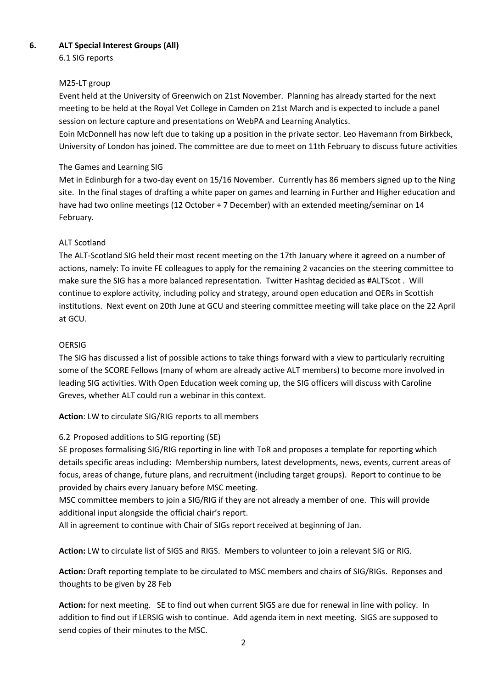# **6. ALT Special Interest Groups (All)**

6.1 SIG reports

# M25-LT group

Event held at the University of Greenwich on 21st November. Planning has already started for the next meeting to be held at the Royal Vet College in Camden on 21st March and is expected to include a panel session on lecture capture and presentations on WebPA and Learning Analytics.

Eoin McDonnell has now left due to taking up a position in the private sector. Leo Havemann from Birkbeck, University of London has joined. The committee are due to meet on 11th February to discuss future activities

# The Games and Learning SIG

Met in Edinburgh for a two-day event on 15/16 November. Currently has 86 members signed up to the Ning site. In the final stages of drafting a white paper on games and learning in Further and Higher education and have had two online meetings (12 October + 7 December) with an extended meeting/seminar on 14 February.

# ALT Scotland

The ALT-Scotland SIG held their most recent meeting on the 17th January where it agreed on a number of actions, namely: To invite FE colleagues to apply for the remaining 2 vacancies on the steering committee to make sure the SIG has a more balanced representation. Twitter Hashtag decided as #ALTScot . Will continue to explore activity, including policy and strategy, around open education and OERs in Scottish institutions. Next event on 20th June at GCU and steering committee meeting will take place on the 22 April at GCU.

# OERSIG

The SIG has discussed a list of possible actions to take things forward with a view to particularly recruiting some of the SCORE Fellows (many of whom are already active ALT members) to become more involved in leading SIG activities. With Open Education week coming up, the SIG officers will discuss with Caroline Greves, whether ALT could run a webinar in this context.

**Action**: LW to circulate SIG/RIG reports to all members

# 6.2 Proposed additions to SIG reporting (SE)

SE proposes formalising SIG/RIG reporting in line with ToR and proposes a template for reporting which details specific areas including: Membership numbers, latest developments, news, events, current areas of focus, areas of change, future plans, and recruitment (including target groups). Report to continue to be provided by chairs every January before MSC meeting.

MSC committee members to join a SIG/RIG if they are not already a member of one. This will provide additional input alongside the official chair's report.

All in agreement to continue with Chair of SIGs report received at beginning of Jan.

**Action:** LW to circulate list of SIGS and RIGS. Members to volunteer to join a relevant SIG or RIG.

**Action:** Draft reporting template to be circulated to MSC members and chairs of SIG/RIGs. Reponses and thoughts to be given by 28 Feb

**Action:** for next meeting. SE to find out when current SIGS are due for renewal in line with policy. In addition to find out if LERSIG wish to continue. Add agenda item in next meeting. SIGS are supposed to send copies of their minutes to the MSC.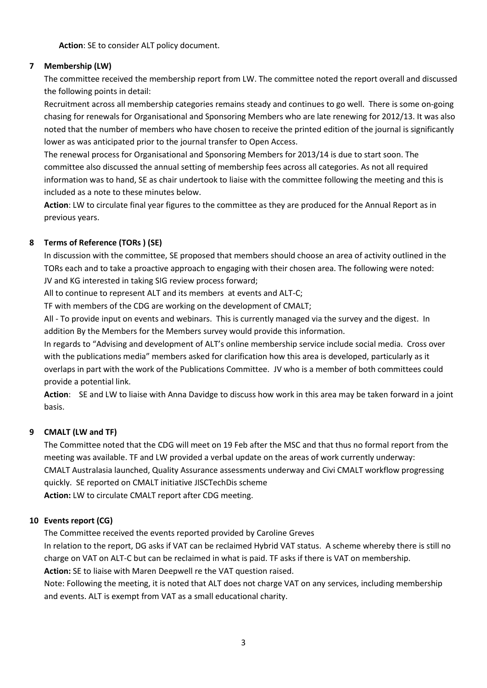**Action**: SE to consider ALT policy document.

# **7 Membership (LW)**

The committee received the membership report from LW. The committee noted the report overall and discussed the following points in detail:

Recruitment across all membership categories remains steady and continues to go well. There is some on-going chasing for renewals for Organisational and Sponsoring Members who are late renewing for 2012/13. It was also noted that the number of members who have chosen to receive the printed edition of the journal is significantly lower as was anticipated prior to the journal transfer to Open Access.

The renewal process for Organisational and Sponsoring Members for 2013/14 is due to start soon. The committee also discussed the annual setting of membership fees across all categories. As not all required information was to hand, SE as chair undertook to liaise with the committee following the meeting and this is included as a note to these minutes below.

**Action**: LW to circulate final year figures to the committee as they are produced for the Annual Report as in previous years.

# **8 Terms of Reference (TORs ) (SE)**

In discussion with the committee, SE proposed that members should choose an area of activity outlined in the TORs each and to take a proactive approach to engaging with their chosen area. The following were noted: JV and KG interested in taking SIG review process forward;

All to continue to represent ALT and its members at events and ALT-C;

TF with members of the CDG are working on the development of CMALT;

All - To provide input on events and webinars. This is currently managed via the survey and the digest. In addition By the Members for the Members survey would provide this information.

In regards to "Advising and development of ALT's online membership service include social media. Cross over with the publications media" members asked for clarification how this area is developed, particularly as it overlaps in part with the work of the Publications Committee. JV who is a member of both committees could provide a potential link.

**Action**: SE and LW to liaise with Anna Davidge to discuss how work in this area may be taken forward in a joint basis.

# **9 CMALT (LW and TF)**

The Committee noted that the CDG will meet on 19 Feb after the MSC and that thus no formal report from the meeting was available. TF and LW provided a verbal update on the areas of work currently underway: CMALT Australasia launched, Quality Assurance assessments underway and Civi CMALT workflow progressing quickly. SE reported on CMALT initiative JISCTechDis scheme

**Action:** LW to circulate CMALT report after CDG meeting.

# **10 Events report (CG)**

The Committee received the events reported provided by Caroline Greves

In relation to the report, DG asks if VAT can be reclaimed Hybrid VAT status. A scheme whereby there is still no charge on VAT on ALT-C but can be reclaimed in what is paid. TF asks if there is VAT on membership.

**Action:** SE to liaise with Maren Deepwell re the VAT question raised.

Note: Following the meeting, it is noted that ALT does not charge VAT on any services, including membership and events. ALT is exempt from VAT as a small educational charity.